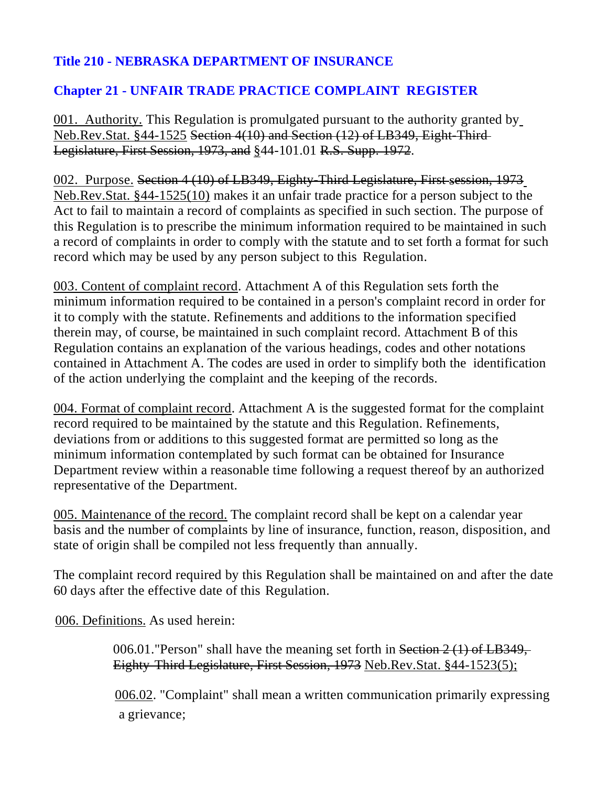# **Title 210 - NEBRASKA DEPARTMENT OF INSURANCE**

## **Chapter 21 - UNFAIR TRADE PRACTICE COMPLAINT REGISTER**

001. Authority. This Regulation is promulgated pursuant to the authority granted by Neb.Rev.Stat. §44-1525 Section 4(10) and Section (12) of LB349, Eight-Third Legislature, First Session, 1973, and §44-101.01 R.S. Supp. 1972.

002. Purpose. Section 4 (10) of LB349, Eighty-Third Legislature, First **S**ession, 1973 Neb.Rev.Stat. §44-1525(10) makes it an unfair trade practice for a person subject to the Act to fail to maintain a record of complaints as specified in such section. The purpose of this Regulation is to prescribe the minimum information required to be maintained in such a record of complaints in order to comply with the statute and to set forth a format for such record which may be used by any person subject to this Regulation.

003. Content of complaint record. Attachment A of this Regulation sets forth the minimum information required to be contained in a person's complaint record in order for it to comply with the statute. Refinements and additions to the information specified therein may, of course, be maintained in such complaint record. Attachment B of this Regulation contains an explanation of the various headings, codes and other notations contained in Attachment A. The codes are used in order to simplify both the identification of the action underlying the complaint and the keeping of the records.

004. Format of complaint record. Attachment A is the suggested format for the complaint record required to be maintained by the statute and this Regulation. Refinements, deviations from or additions to this suggested format are permitted so long as the minimum information contemplated by such format can be obtained for Insurance Department review within a reasonable time following a request thereof by an authorized representative of the Department.

005. Maintenance of the record. The complaint record shall be kept on a calendar year basis and the number of complaints by line of insurance, function, reason, disposition, and state of origin shall be compiled not less frequently than annually.

The complaint record required by this Regulation shall be maintained on and after the date 60 days after the effective date of this Regulation.

006. Definitions. As used herein:

006.01."Person" shall have the meaning set forth in Section 2 (1) of LB349, Eighty-Third Legislature, First Session, 1973 Neb.Rev.Stat. §44-1523(5);

 006.02. "Complaint" shall mean a written communication primarily expressing a grievance;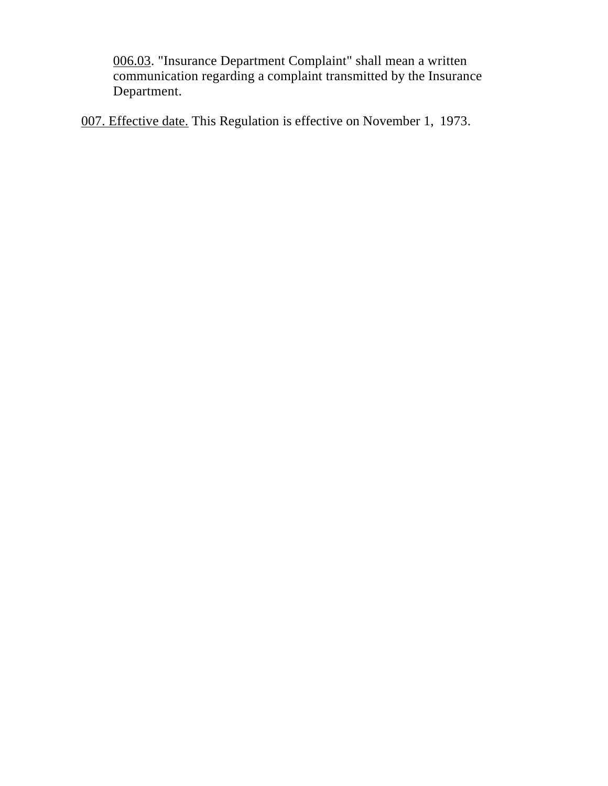006.03. "Insurance Department Complaint" shall mean a written communication regarding a complaint transmitted by the Insurance Department.

007. Effective date. This Regulation is effective on November 1, 1973.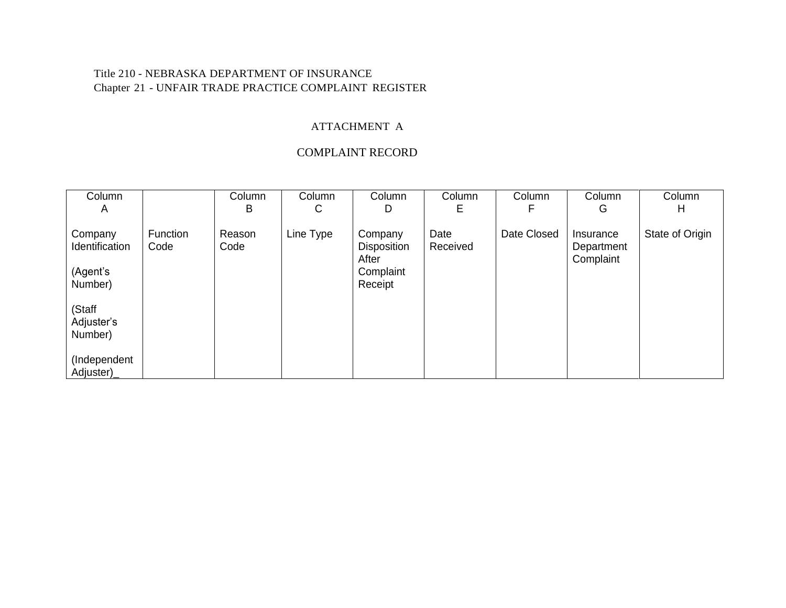#### Title 210 - NEBRASKA DEPARTMENT OF INSURANCE Chapter 21 - UNFAIR TRADE PRACTICE COMPLAINT REGISTER

### ATTACHMENT A

### COMPLAINT RECORD

| Column<br>A                     |                         | Column<br>В    | Column<br>С | Column<br>D                   | Column<br>E      | Column<br>F | Column<br>G             | Column<br>Н     |
|---------------------------------|-------------------------|----------------|-------------|-------------------------------|------------------|-------------|-------------------------|-----------------|
| Company<br>Identification       | <b>Function</b><br>Code | Reason<br>Code | Line Type   | Company<br><b>Disposition</b> | Date<br>Received | Date Closed | Insurance<br>Department | State of Origin |
| (Agent's<br>Number)             |                         |                |             | After<br>Complaint<br>Receipt |                  |             | Complaint               |                 |
| (Staff<br>Adjuster's<br>Number) |                         |                |             |                               |                  |             |                         |                 |
| (Independent<br>Adjuster)_      |                         |                |             |                               |                  |             |                         |                 |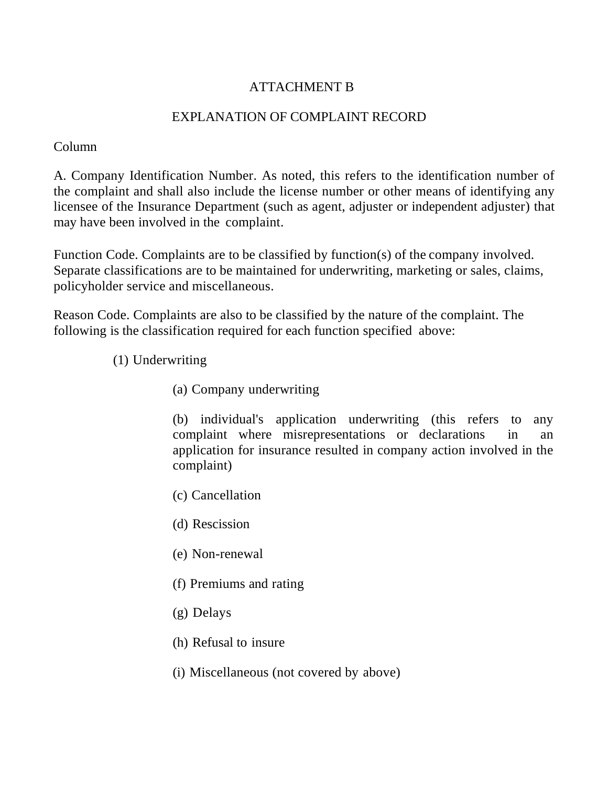## ATTACHMENT B

## EXPLANATION OF COMPLAINT RECORD

Column

A. Company Identification Number. As noted, this refers to the identification number of the complaint and shall also include the license number or other means of identifying any licensee of the Insurance Department (such as agent, adjuster or independent adjuster) that may have been involved in the complaint.

Function Code. Complaints are to be classified by function(s) of the company involved. Separate classifications are to be maintained for underwriting, marketing or sales, claims, policyholder service and miscellaneous.

Reason Code. Complaints are also to be classified by the nature of the complaint. The following is the classification required for each function specified above:

- (1) Underwriting
	- (a) Company underwriting

(b) individual's application underwriting (this refers to any complaint where misrepresentations or declarations in an application for insurance resulted in company action involved in the complaint)

- (c) Cancellation
- (d) Rescission
- (e) Non-renewal
- (f) Premiums and rating
- (g) Delays
- (h) Refusal to insure
- (i) Miscellaneous (not covered by above)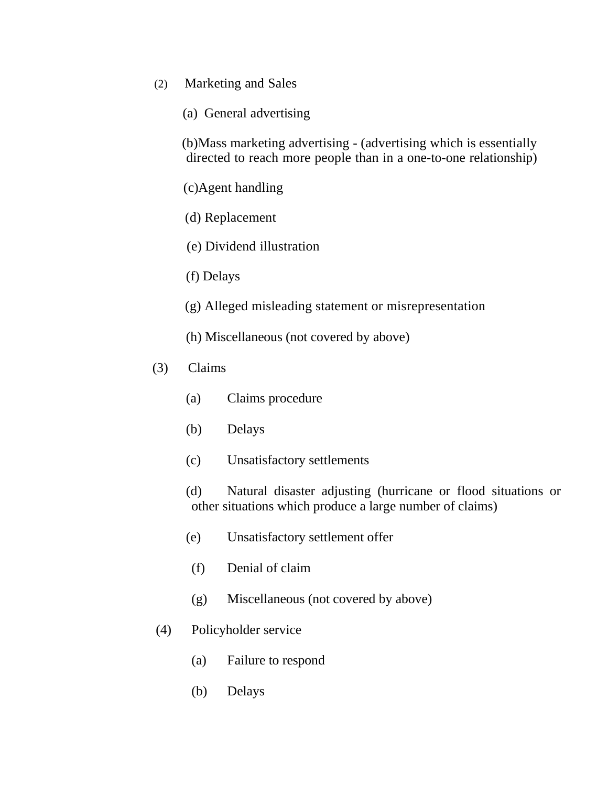- (2) Marketing and Sales
	- (a) General advertising

(b)Mass marketing advertising - (advertising which is essentially directed to reach more people than in a one-to-one relationship)

(c)Agent handling

- (d) Replacement
- (e) Dividend illustration
- (f) Delays
- (g) Alleged misleading statement or misrepresentation
- (h) Miscellaneous (not covered by above)
- (3) Claims
	- (a) Claims procedure
	- (b) Delays
	- (c) Unsatisfactory settlements

 (d) Natural disaster adjusting (hurricane or flood situations or other situations which produce a large number of claims)

- (e) Unsatisfactory settlement offer
- (f) Denial of claim
- (g) Miscellaneous (not covered by above)
- (4) Policyholder service
	- (a) Failure to respond
	- (b) Delays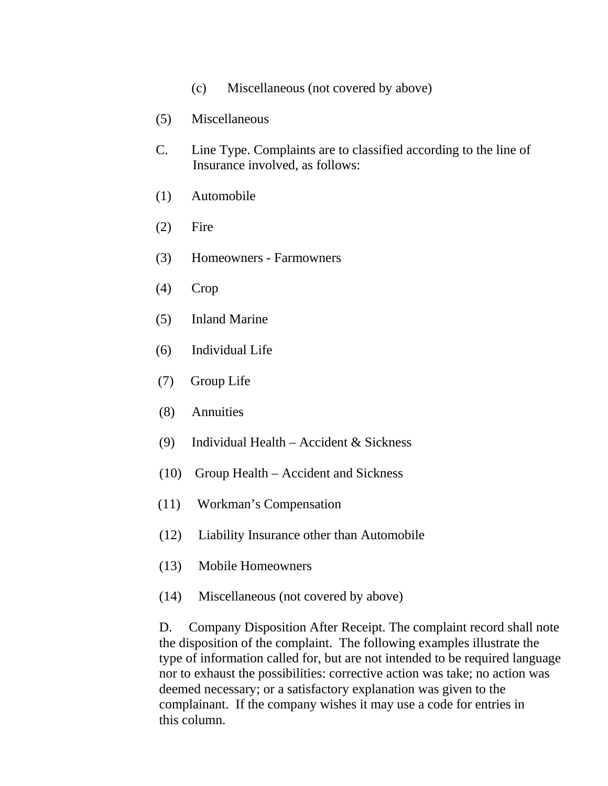- (c) Miscellaneous (not covered by above)
- (5) Miscellaneous
- C. Line Type. Complaints are to classified according to the line of Insurance involved, as follows:
- (1) Automobile
- (2) Fire
- (3) Homeowners Farmowners
- (4) Crop
- (5) Inland Marine
- (6) Individual Life
- (7) Group Life
- (8) Annuities
- (9) Individual Health Accident & Sickness
- (10) Group Health Accident and Sickness
- (11) Workman's Compensation
- (12) Liability Insurance other than Automobile
- (13) Mobile Homeowners
- (14) Miscellaneous (not covered by above)

 D. Company Disposition After Receipt. The complaint record shall note the disposition of the complaint. The following examples illustrate the type of information called for, but are not intended to be required language nor to exhaust the possibilities: corrective action was take; no action was deemed necessary; or a satisfactory explanation was given to the complainant. If the company wishes it may use a code for entries in this column.